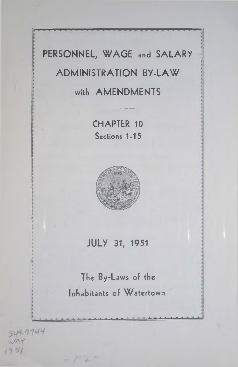# PERSONNEL, WAGE and SALARY **ADMINISTRATION BY-LAW** with **AMENDMENTS**

**CH APTER 10 Sections 1-15**



**JU LY 31, 1951**

**The By-Laws of the Inhabitants of Watertown**

<sup>a</sup> *<sup>+</sup>* <sup>a</sup> . *\** <sup>a</sup> <sup>a</sup> <sup>a</sup> <sup>a</sup> <sup>a</sup> A <sup>a</sup>

**■A.**

349.97.44  $WAT$  $1951$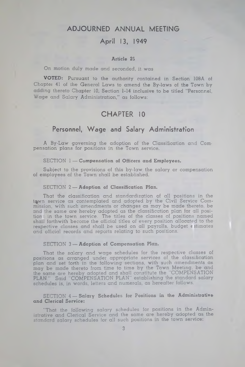## **A DJO URN ED A N N U A L M EETING**

## **April 13, 1949**

#### Article 2S

#### On motion duly made and seconded, it was

**VOTED:** Pursuant to the authority contained in Section 108A of Chapter 41 of the General Laws to amend the By-laws of the Town by adding thereto Chapter 10, Section 1-14 inclusive to be titled "Personnel, Wage and Salary Administration," as follows:

## CHAPTER 10

## **Personnel, Wage and Salary Administration**

A By-Law governing the adoption of the Classification and Compensation plans for positions in the Town service.

#### SECTION 1- Compensation of Officers and Employees.

Subject to the provisions of this by-law the salary or compensation of employees of the Town shall be established.

#### SECTION 2- Adoption of Classification Plan.

That the classification and standardization of all positions in the town service as contemplated and adopted by the Civil Service Commission, with such amendments or changes as may be made thereto, be and the same are hereby adopted as the classification plan for all position in the town service. The titles of the classes of positions named shall forthwith become the official titles of every position allocated to the respective classes and shall be used on all payrolls, budget estimates and official records and reports relating to such positions.

#### SECTION 3- Adoption of Compensation Plan.

That the salary and wage schedules for the respective classes of positions as arranged under appropriate services of the classification plan and set forth in the following sections, with such amendments as may be made thereto from time to time by the Town Meeting, be and the same are hereby adopted and shall constitute the "COMPENSATION PLAN," Said "COMPENSATION PLAN" establishing the standard salary schedules is, in words, letters and numerals, as hereafter follows.

#### SECTION 4- Salary Schedules for Positions in the Administrative and Clerical Service:

"That the following salary schedules for positions in the Administrative and Clerical Service and the same are hereby adopted as the standard salary schedules for all such positions in the town service: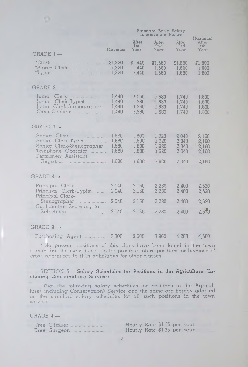#### Minimum GRADE 1 — ' Clerk .......................................... \$ 1,320 ' Stores Clerk .............................. 1,320 ' Typist ....................................... 1,320 GRADE 2— Junior Clerk .............................. 1,440 Junior Clerk-Typist ............... 1,440 Junior Clerk-Stenographer .. 1,440 Clerk-Cashier ............................ 1,440 GRADE 3 — Senior Clerk .......................... 1,680 1,800 Senior Clerk-Typist ................... 1,680<br>Senior Clerk-Stenographer 1,680 Senior Clerk-Stenographer Telephone Operator ............ 1,680 Perm anent Assistant Registrar .............................. 1,680 GRADE  $4 -$ Principal Clerk .......................... 2,040 Principal Clerk-Typist ........ 2,040 Principal Clerk-Stenographer ...................... 2,040 Confidential Secretary to Selectm en ............................ 2,040 GRADE 9 — Standard Basic Salary Intermediate Range After After After<br>lst 2nd 3rd Maximum Alter<br>4th 1st 2nd<br>Year Year Year Year Year \$1,440 \$1,560 \$1,680 \$1,800 1,440 1,560 1,680 1,800 1,800 1,560 1,680 1,740 1,800 1,560 1,680 1,740 1,800 1,560 1,680 1.740 1,800 1,740 1,800 1,800 1,800 1.920 1.920 1.920 1.920 2.040 2.040 2.040 2.040 2,160 2,160 2,160 2,160 1,300 1,920 2,040 2,160 2,160 2,160 2,280 2,280 2.400 2.400 2.520 2.520 2,160 2,280 2,400 2,520 2,160 2,280 2,400 2,520

Purchasing Agent ................. 3,300 3,600 3,900 4,200 4,500

\* Ho present positions of this class have been found in the town service but the class is set up for possible future positions or because of cross references to it in definitions for other classes.

#### SECTION 5 — **Salary Schedules for Positions in the Agriculture (Including Conservation) Service:**

"That the following salary schedules for positions in the Agriculture( including Conservation) Service and the same are hereby adopted as the standard salary schedules for all such positions in the town service:

GRADE 4 —

|  | Tree Climber | Hourly Rate \$1 75 per hour |  |  |
|--|--------------|-----------------------------|--|--|
|  | Tree Surgeon | Hourly Rate \$1.35 per hour |  |  |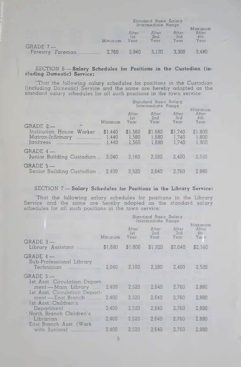|             |         |                      | Standard Basic Salary<br>Intermediate Range |                      | Maximum                          |
|-------------|---------|----------------------|---------------------------------------------|----------------------|----------------------------------|
|             | Minimum | After<br>1st<br>Year | Alter<br>2nd<br>Үеат                        | Aiter<br>3rd<br>Year | Aiter<br>4 <sub>th</sub><br>Year |
| $GRADE 7 -$ |         | 2.940                | 3.120                                       | 3.300                | 3.480                            |

#### SECTION 6-Salary Schedules for Positions in the Custodian (including Domestic) Service:

'That the following salary schedules for positions in the Custodian (including Domestic) Service and the same are hereby adopted as the standard salary schedules for all such positions in the town service:

|                                                                       |                           | Standard Basic Salary<br>Intermediate Range |                           | Maximum                   |
|-----------------------------------------------------------------------|---------------------------|---------------------------------------------|---------------------------|---------------------------|
| Minimum<br>$GRADE 2 -$                                                | Äfter<br>lst.<br>Year     | After<br>2nd<br>Year                        | After<br>- 3rd<br>Year    | After<br>4th<br>Year      |
| Institution House Worker  \$1,440<br>Matron-Infirmary  1,440<br>1.440 | \$1,560<br>1,560<br>1,560 | \$1,680<br>1,680<br>1,680                   | \$1,740<br>1.740<br>1.740 | \$1,800<br>1,800<br>1,800 |
| $GRADE 4 -$<br>Junior Building Custodian  2,040                       | 2,160                     | 2,280                                       | 2,400                     | 2,520                     |
| $GRADE$ 5 $-$<br>Senior Building Custodian  2.400                     | 2.520                     | 2.640                                       | 2.760                     | 2.880                     |

#### SECTION 7-Salary Schedules for Positions in the Library Service:

"That the following salary schedules for positions in the Library Service and the same are hereby adopted as the standard salary schedules for all such positions in the town service:

|                                                                       |         |                      | Standard Basic Salary<br>Intermediate Range |                      | Maximum              |
|-----------------------------------------------------------------------|---------|----------------------|---------------------------------------------|----------------------|----------------------|
| $GRADE 3 -$                                                           | Minimum | After<br>lst<br>Year | Alter<br>2nd<br>Year                        | After<br>3rd<br>Yecr | After<br>41<br>Ymc r |
| Library Assistant                                                     | \$1,680 | \$1,800              | \$1,920                                     | \$2.040              | \$2,160              |
| $GRADE 4-$<br>Sub-Professional Library                                | 2.040   | 2,160                | 2,280                                       | 2,400                | 2,520                |
| $GRADE$ 5 $-$<br>1st Asst. Circulation Depart-<br>ment - Main Library | 2.400   | 2.520                | 2,640                                       | 2,760                | 2,880                |
| 1st Asst. Circulation Depart-<br>ment -- East Branch                  | 2,400   | 2,520                | 2.640                                       | 2,760                | 2,880                |
| 1st Asst. Children's<br>Department<br>'North Branch Children's        | 2.400   | 2.520                | 2,640                                       | 2,760                | 2,880                |
| Librarian<br>East Branch Asst. (Work                                  | 2.400   | 2.520                | 2.640                                       | 2.760                | 2,880                |
| with Juniors)                                                         | 2,400   | 2.520                | 2,640                                       | 2,760                | 2,880                |

5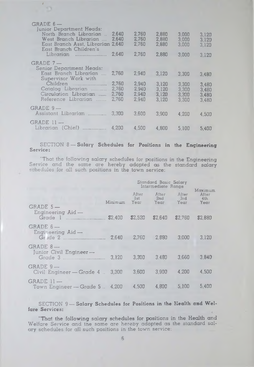| GRADE 6-<br><b>Junior Department Heads:</b><br>North Branch Librarian<br>West Branch Librarian<br>East Branch Asst, Librarian 2,640<br>East Branch Children's<br>Librarian | 2.640<br>2,640<br>2,640          | 2.760<br>2.760<br>2,760<br>2,760 | 2.880<br>2,880<br>2,880<br>2,880 | 3,000<br>3.000<br>3,000<br>3,000 | 3.120<br>3.120<br>3,120<br>3,120 |
|----------------------------------------------------------------------------------------------------------------------------------------------------------------------------|----------------------------------|----------------------------------|----------------------------------|----------------------------------|----------------------------------|
| $GRADE 7 -$<br>Senior Department Heads:<br>East Branch Librarian                                                                                                           | 2,760                            | 2,940                            | 3.120                            | 3,300                            | 3,480                            |
| Supervisor Work with<br>Children<br>Catalog Librarian<br>Circulation Librarian<br>Reference Librarian                                                                      | 2.760<br>2,760<br>2.760<br>2,760 | 2,940<br>2.940<br>2.940<br>2.940 | 3,120<br>3,120<br>3.120<br>3.120 | 3,300<br>3.300<br>3,300<br>3,300 | 3,480<br>3.480<br>3.480<br>3.480 |
| $GRADE 9 -$<br>Assistant Librarian                                                                                                                                         | 3.300                            | 3,600                            | 3,900                            | 4,200                            | 4,500                            |
| $GRADE$ $11 -$<br>Librarian (Chief)                                                                                                                                        | 4,200                            | 4,500                            | 4,800                            | 5,100                            | 5.400                            |
|                                                                                                                                                                            |                                  |                                  |                                  |                                  |                                  |

*i*

13

#### SECTION 8 — Salary Schedules **for Positions in the Engineering** Service:

"That the following salary schedules for positions in the Engineering Service and the same are hereby adopted as the standard salary schedules for all such positions in the town service:

|                                                   |         |             | Standard Basic Salary<br>Intermediate Range |                      |                                 |
|---------------------------------------------------|---------|-------------|---------------------------------------------|----------------------|---------------------------------|
| $GRADE 5 -$<br>Engineering $\text{A}$ id —        | Minimum | 3st<br>Year | Äfter After<br>2nd<br>Year                  | After<br>3rd<br>Year | Maximum<br>After<br>4th<br>Year |
| Grade 1                                           | \$2,400 | \$2,520     | \$2,640                                     | \$2,760              | \$2,880                         |
| $GRADE 6 -$<br>Engineering Aid-<br>Gr Ide 2       |         | 2.640 2.760 | 2.880                                       | 3,000                | 3,120                           |
| $GRADE 8 -$<br>Junior Civil Engineer -<br>Grade 3 | 3,120   | 3,300       | 3.480                                       | 3.660                | 3.840                           |
| $GRADE 9 -$<br>Civil Engineer - Grade 4  3,300    |         | 3.600       | 3.900                                       | 4.200                | 4.500                           |
| $GRADE$ $H -$<br>Town Engineer – Grade 5 4,200    |         | 4.500       | 4,800                                       | 5.100                | 5,400                           |

#### SECTION 9-Salary Schedules for Positions in the Health and Wel**fare Services:**

"That the following salary schedules for positions in the Health and Welfare Service and the same are hereby adopted as the standard salary schedules for all such positions in the town service: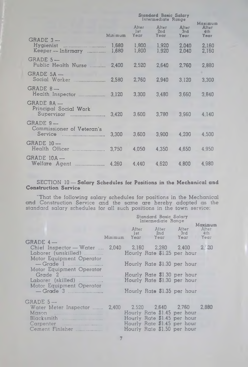|                                                     | Standard Basic Salary<br>Intermediate Range |                      |                      | Maximum              |                      |
|-----------------------------------------------------|---------------------------------------------|----------------------|----------------------|----------------------|----------------------|
|                                                     | Minimum                                     | After<br>1st<br>Year | After<br>2nd<br>Year | After<br>3rd<br>Year | After<br>4th<br>Year |
| GRADE 3-<br>Hygienist<br>Keeper — Infirmary ……………   | 1,680<br>1,680                              | 1,800<br>1,800       | 1,920<br>1.920       | 2,040<br>2,040       | 2,160<br>2,160       |
| $GRADE 5 -$<br>Public Health Nurse                  | 2,400                                       | 2,520                | 2,640                | 2,760                | 2,880                |
| $GRADE 5A -$<br>Social Worker                       | 2,580                                       | 2,760                | 2,940                | 3.120                | 3,300                |
| $GRADE 8 -$<br>Health Inspector                     | 3,120                                       | 3,300                | 3,480                | 3,660                | 3,840                |
| GRADE 8A —<br>Principal Social Work<br>Supervisor   | 3.420                                       | 3,600                | 3,780                | 3.960                | 4.140                |
| $GRADE 9 -$<br>Commissioner of Veteran's<br>Service | 3,300                                       | 3,600                | 3,900                | 4.200                | 4.500                |
| $GRADE$ 10 $-$<br>Health Officer                    | 3,750                                       | 4,050                | 4.350                | 4.650                | 4,950                |
| $GRADE$ $10A -$<br>Welfare Agent                    | 4.260                                       | 4,440                | 4,620                | 4,800                | 4,980                |

#### SECTION 10 — Salary Schedules for Positions in the Mechanical and Construction Service

"That the following salary schedules for positions in the Mechanical and Construction Service and the same are hereby adopted as the standard salary schedules for all such positions in the town service:

|                                                                                                                          |       |       | Standard Basic Salary<br>Intermediate Range                                                                                                         | Maximum          |
|--------------------------------------------------------------------------------------------------------------------------|-------|-------|-----------------------------------------------------------------------------------------------------------------------------------------------------|------------------|
|                                                                                                                          |       | 1st 1 | After After After<br>2nd 3rd<br>Minimum Year Year Year Year                                                                                         | After<br>$-4$ th |
| $GRADE 4 -$<br>Chief Inspector — Water  2,040   2,160   2,280   2,400<br>Laborer (unskilled)<br>Motor Equipment Operator |       |       | Hourly Rate \$1.25 per hour                                                                                                                         | 2.30             |
| $-$ Grade 1<br>Motor Equipment Operator                                                                                  |       |       | Hourly Rate \$1.30 per hour                                                                                                                         |                  |
| Laborer (skilled)<br>Motor Equipment Operator                                                                            |       |       | Hourly Rate \$1.30 per hour<br>Hourly Rate \$1.30 per hour                                                                                          |                  |
|                                                                                                                          |       |       | Hourly Rate \$1.35 per hour                                                                                                                         |                  |
| $GRADE 5 -$<br>Water Meter Inspector<br>Mason<br>Blacksmith<br>Cement Finisher                                           | 2,400 |       | 2.520 2.640 2.760 2.880<br>Hourly Rate \$1.45 per hour<br>Hourly Rate \$1.45 per hour<br>Hourly Rate \$1.45 per hour<br>Hourly Rate \$1.50 per hour |                  |

7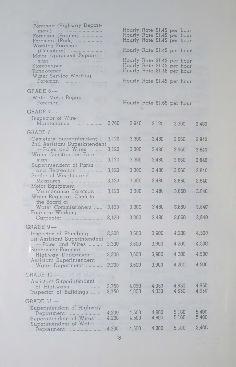| Poreman (Highway Depart-<br>Foreman (Painter)<br>Foreman (Park)<br><b>Working Foreman</b><br>(Cemetery)<br>Motor Equipment Repair-<br>man<br>Storekeeper<br>Timekeeper<br>Water Service Working<br>Foreman |                |                | Hourly Rate \$1.45 per hour<br>Hourly Rate \$1.45 per hour<br>Hourly Rate \$1.45 per hour<br>Hourly Rate \$1.45 per hour<br>Hourly Rate \$1.45 per hour<br>Hourly Rate \$1.45 per hour<br>Hourly Rate \$1.45 per hour<br>Hourly Rate \$1.45 per hour |                |                  |
|------------------------------------------------------------------------------------------------------------------------------------------------------------------------------------------------------------|----------------|----------------|------------------------------------------------------------------------------------------------------------------------------------------------------------------------------------------------------------------------------------------------------|----------------|------------------|
| $GRADE 6 -$<br>Water Meter Repair<br>Foreman                                                                                                                                                               |                |                | Hourly Rate \$1.65 per hour                                                                                                                                                                                                                          |                |                  |
| GRADE 7-                                                                                                                                                                                                   |                |                |                                                                                                                                                                                                                                                      |                |                  |
| Inspector of Wire<br>Maintenance                                                                                                                                                                           | 2,760          | 2,940          | 3,120                                                                                                                                                                                                                                                | 3,300          | 3,480            |
| $GRADE 8 -$                                                                                                                                                                                                |                |                |                                                                                                                                                                                                                                                      |                |                  |
| Cemetery Superintendent<br>2nd Assistant Superintendent                                                                                                                                                    | 3,120          | 3,300          | 3,480                                                                                                                                                                                                                                                | 3,660          | 3,840            |
| - Poles and Wires<br>Water Construction Fore-                                                                                                                                                              | 3,120          | 3,300          | 3,480                                                                                                                                                                                                                                                | 3,660          | 3,840            |
|                                                                                                                                                                                                            | 3,120          | 3,300          | 3,480                                                                                                                                                                                                                                                | 3,660          | 3,840            |
| Superintendent of Parks<br>and Recreation                                                                                                                                                                  | 3,120          | 3,300          | 3,480                                                                                                                                                                                                                                                | 3,660          | 3,840            |
| Sealer of Weights and                                                                                                                                                                                      | 3,120          | 3,300          | 3,480                                                                                                                                                                                                                                                | 3,660          | 3,840            |
| Motor Equipment<br>Maintenance Foreman<br>Water Registrar, Clerk to                                                                                                                                        | 3,120          | 3,300          | 3,480                                                                                                                                                                                                                                                | 3,660          | 3,840            |
| the Board of<br>Water Commissioners                                                                                                                                                                        | 3,120          | 3,300          | 3,480                                                                                                                                                                                                                                                | 3,660          | 3,840            |
| Foreman Working<br>Carpenter                                                                                                                                                                               | 3,120          | 3,300          | 3,480                                                                                                                                                                                                                                                | 3,660          | 3,840            |
| GRADE 9-                                                                                                                                                                                                   |                |                |                                                                                                                                                                                                                                                      |                |                  |
| Inspector of Plumbing                                                                                                                                                                                      | 3,300          | 3,600          | 3,900                                                                                                                                                                                                                                                | 4,200          | 4,500            |
| Ist Assistant Superintendent<br>- Poles and Wires                                                                                                                                                          | 3,300          | 3,600          | 3,900                                                                                                                                                                                                                                                | 4,200          | 4,500            |
| Supervisor Foreman<br>Highway Department                                                                                                                                                                   | 3,300          | 3,600          | 3,900                                                                                                                                                                                                                                                | 4,200          | 4,500            |
| Assistant Superintendent<br>Water Department                                                                                                                                                               | 3,300          | 3,600          | 3,900                                                                                                                                                                                                                                                | 4,200          | 4,500            |
| GRADE 10-                                                                                                                                                                                                  |                |                |                                                                                                                                                                                                                                                      |                |                  |
| Assistant Superintendent                                                                                                                                                                                   |                |                |                                                                                                                                                                                                                                                      |                |                  |
| of Highways<br>Inspector of Buildings                                                                                                                                                                      | 3,750<br>3,750 | 4,050<br>4,050 | 4,350<br>4,350                                                                                                                                                                                                                                       | 4,650<br>4,650 | 4,950<br>4 9 5 0 |
| GRADE 11-                                                                                                                                                                                                  |                |                |                                                                                                                                                                                                                                                      |                |                  |
| Superintendent of Highway                                                                                                                                                                                  | 4,200          | 4,500          | 4,800                                                                                                                                                                                                                                                | 5,100          | 5,400            |
| Department<br>Superintendent of Wires                                                                                                                                                                      | 4,200          | 4,500          | 4,800                                                                                                                                                                                                                                                | 5,100          | 5,400            |
| Superintendent of Water<br>Deportment                                                                                                                                                                      | 4,200          | 4,500          | 4,800                                                                                                                                                                                                                                                | 5,100          | 5,400            |
|                                                                                                                                                                                                            |                |                |                                                                                                                                                                                                                                                      |                |                  |

8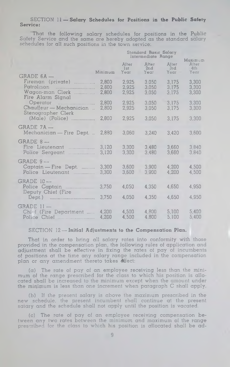#### SECTION 11 — **Salary Schedules for Positions in the Public Safety** Service:

That the iollowing salary schedules for positions in the Public Safety Service and the same are hereby adopted as the standard salary schedules for all such positions in the town service:

|                                                                        | Standard Basic Salary<br>Intermediate Range |                         |                         |                         | Maximum                 |
|------------------------------------------------------------------------|---------------------------------------------|-------------------------|-------------------------|-------------------------|-------------------------|
|                                                                        | Minimum                                     | After<br>1st<br>Year    | After<br>2nd<br>Year    | After<br>3rd<br>Year    | After<br>4th<br>Year    |
| $GRADE 6A -$                                                           |                                             |                         |                         |                         |                         |
| Fireman (private)<br>Patrolman<br>Wagon-man Clerk<br>Fire Alarm Signal | 2.800<br>2,800<br>2,800                     | 2.925<br>2,925<br>2.925 | 3.050<br>3.050<br>3.050 | 3.175<br>3,175<br>3.175 | 3,300<br>3,300<br>3.300 |
| Chauffeur — Mechanician<br>Stenographer Clerk                          | 2,800<br>2,800                              | 2,925<br>2,925          | 3.050<br>3.050          | 3.175<br>3.175          | 3.300<br>3.300          |
| (Male) (Police)                                                        | 2,800                                       | 2,925                   | 3,050                   | 3,175                   | 3,300                   |
| $GRADE 7A -$                                                           |                                             |                         |                         |                         |                         |
| Mechanician — Fire Dept.                                               | 2.880                                       | 3,060                   | 3,240                   | 3.420                   | 3,600                   |
| $GRADE 8 -$<br>Fire Lieutenant<br>Police Sergeant                      | 3.120<br>3,120                              | 3.300<br>3.300          | 3.480<br>3.480          | 3.660<br>3,660          | 3.840<br>3.840          |
| $GRADE 9 -$                                                            |                                             |                         |                         |                         |                         |
| Captain - Fire Dept.<br>Police Lieutenant                              | 3,300<br>3.300                              | 3,600<br>3.600          | 3.900<br>3.900          | 4,200<br>4.200          | 4,500<br>4,500          |
| $GRADE$ 10 $-$                                                         |                                             |                         |                         |                         |                         |
| Deputy Chief (Fire                                                     | 3,750                                       | 4,050                   | 4,350                   | 4,650                   | 4,950                   |
|                                                                        | 3,750                                       | 4.050                   | 4.350                   | 4,650                   | 4.950                   |
| GRADE II-<br>Chief (Fire Department                                    | 4,200<br>4,200                              | 4,500<br>4,500          | 4,800<br>4,800          | 5.100<br>5,100          | 5.400<br>5,400          |

#### SECTION 12-Initial Adjustments to the Compensation Plan.

That in order to bring all salary rates into conformity with those provided in the compensation plan, the following rules of application and adjustment shall be effective in fixing the rates of pay of incumbents of positions at the time any salary range included in the compensation plan or any amendment thereto takes Affect:

 $(a)$  The rate of pay of an employee receiving less than the minimum of the range prescribed for the class to which his position is allocated shall be increased to the minimum except when the amount under the minimum is less than one increment when paragraph C shall apply.

(b) If the present salary is above the maximum prescribed in the new schedule, the present incumbent shall continue at the present salary and the schedule shall not apply until the position is vacated.

(c) The rate of pay of an employee receiving compensation between any two rates between the minimum and maximum of the range prescribed for the class to which his position is allocated shall be ad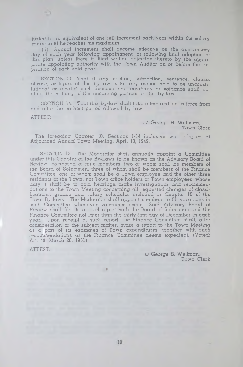justed to an equivalent of one full increment each year within the salary range until he reaches his maximum.

(d) Annual increment shall become effective on the anniversary day of each year following appointment, or following final adoption of this plan, unless there is filed written objection thereto by the appropriate appointing authority with the Town Auditor on or before the expiration of each said year.

SECTION 13. That if any section, subsection, sentence, clause, phrase, or figure of this by-law is for any reason held to be unconstitutional or invalid, such decision and invalidity or voidance shall not affect the validity of the rem aining portions of this by-law.

SECTION 14. That this by-law shall take effect and be in force from and after the earliest period allowed by law.

ATTEST:

s/ George B. Wellman, Town Clerk

The foregoing Chapter 10, Sections 1-14 inclusive was adopted at Adjourned Annual Town Meeting, April 13, 1949.

SECTION 15. The Moderator shall annually appoint a Committee under this Chapter of the By-Laws to be known as the Advisory Board of Review, composed of nine members, two of whom shall be me<mark>mbers of</mark> the Board of Selectmen, three of whom shall be members of the Finance Committee, one of whom shall be a Town employee and the other three residents of the Town, not Town office holders or Town employees, whose duty it shall be to hold hearings, make investigations and recommendations to the Town Meeting concerning all requested changes of classifications, grades and salary schedules included in Chapter 10 of the Town By-laws. The Moderator shall appoint members to fill vacancies in such Committee whenever vacancies occur. Said Advisory Board of Review shall file its annual report with the Board of Selectmen and the Finance Committee not later than the thirty-first day of December in **each** year. Upon receipt of such report, the Finance Committee shall, after consideration of the subject matter, make a report to the Town Meeting as a part of its estimates of Town expenditures, together with such recommendations as the Finance Committee deems expedient. (Voted: Art. 40, March 26, 1951)

ATTEST:

s/ George B. Wellman<sub>,</sub> Town Clerk

**«**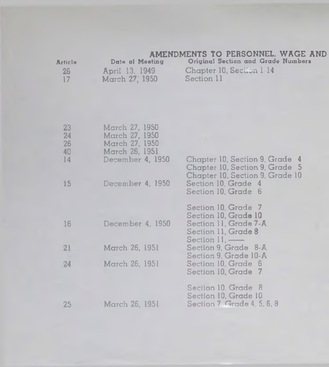### AMENDMENTS TO PERSONNEL. WAGE AND

| Article | Date of Meeting | Original Section and Grade Numbers |  |
|---------|-----------------|------------------------------------|--|
| 26      | April 13, 1949  | Chapter 10, Section 1:14           |  |
| 17      | March 27, 1950  | Section 11                         |  |

| 23<br>24<br>26<br>40 | March 27, 1950<br>March 27, 1950<br>March 27, 1950<br>March 26, 1951 |                                                                                                     |
|----------------------|----------------------------------------------------------------------|-----------------------------------------------------------------------------------------------------|
| 14                   | December 4, 1950                                                     | Chapter 10, Section 9, Grade 4<br>Chapter 10, Section 9, Grade 5<br>Chapter 10, Section 9, Grade 10 |
| 15                   | December 4, 1950                                                     | Section 10, Grade 4<br>Section 10, Grade 6                                                          |
|                      |                                                                      | Section 10, Grade 7<br>Section 10, Grade 10                                                         |
| 16                   | December 4, 1950                                                     | Section 11, Grade 7-A<br>Section 11, Grade 8<br>Section $11$ . —                                    |
| 21                   | March 26, 1951                                                       | Section 9, Grade 8-A<br>Section 9. Grade 10-A                                                       |
| 24                   | March 26, 1951                                                       | Section 10, Grade 6<br>Section 10, Grade 7                                                          |
| 25                   | March 26, 1951                                                       | Section 10, Grade 8<br>Section 10, Grade 10<br>Section 7 Grade 4, 5, 6, 8                           |
|                      |                                                                      |                                                                                                     |